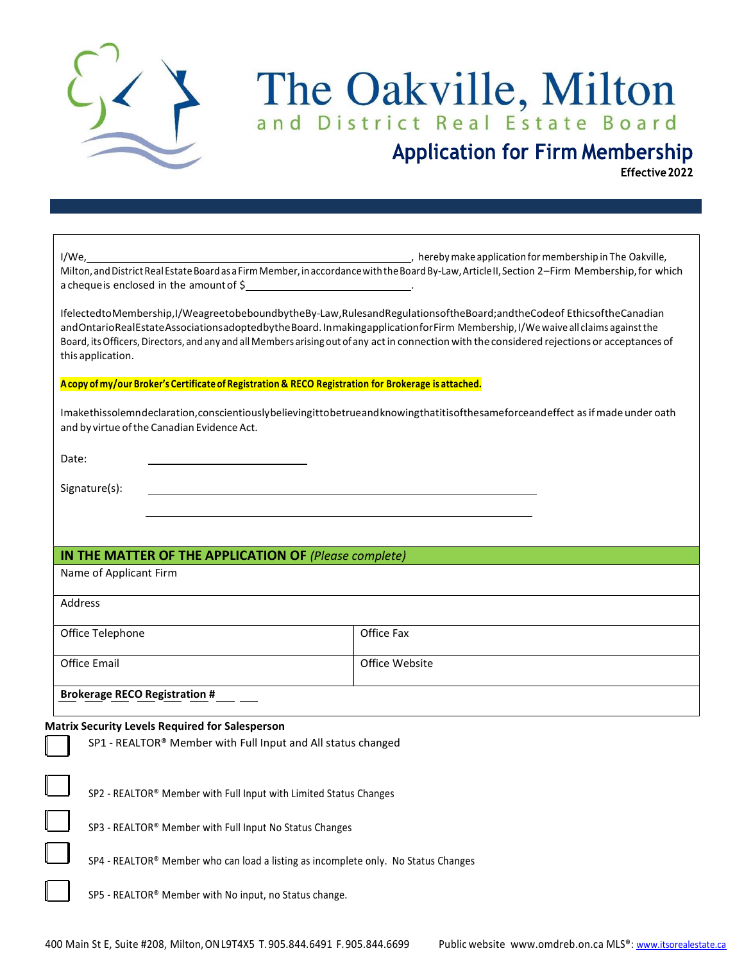

# The Oakville, Milton

## **Application for Firm Membership**

Effective 2022

| I/We,<br>a cheque is enclosed in the amount of \$_______________________________.                    | , hereby make application for membership in The Oakville,<br>Milton, and District Real Estate Board as a Firm Member, in accordance with the Board By-Law, Article II, Section 2-Firm Membership, for which                                                                                                                                                                                                    |  |
|------------------------------------------------------------------------------------------------------|----------------------------------------------------------------------------------------------------------------------------------------------------------------------------------------------------------------------------------------------------------------------------------------------------------------------------------------------------------------------------------------------------------------|--|
| this application.                                                                                    | IfelectedtoMembership,I/WeagreetobeboundbytheBy-Law,RulesandRegulationsoftheBoard;andtheCodeof EthicsoftheCanadian<br>and Ontario Real Estate Associations adopted by the Board. In making application for Firm Membership, I/We waive all claims against the<br>Board, its Officers, Directors, and any and all Members arising out of any act in connection with the considered rejections or acceptances of |  |
| A copy of my/our Broker's Certificate of Registration & RECO Registration for Brokerage is attached. |                                                                                                                                                                                                                                                                                                                                                                                                                |  |
| and by virtue of the Canadian Evidence Act.                                                          | Imakethissolemndeclaration, conscientiously believing it to be true and knowing that it is of the same force and effect as if made under oath                                                                                                                                                                                                                                                                  |  |
| Date:                                                                                                |                                                                                                                                                                                                                                                                                                                                                                                                                |  |
| Signature(s):                                                                                        |                                                                                                                                                                                                                                                                                                                                                                                                                |  |
|                                                                                                      |                                                                                                                                                                                                                                                                                                                                                                                                                |  |
|                                                                                                      |                                                                                                                                                                                                                                                                                                                                                                                                                |  |
| IN THE MATTER OF THE APPLICATION OF (Please complete)                                                |                                                                                                                                                                                                                                                                                                                                                                                                                |  |
| Name of Applicant Firm                                                                               |                                                                                                                                                                                                                                                                                                                                                                                                                |  |
| Address                                                                                              |                                                                                                                                                                                                                                                                                                                                                                                                                |  |
| Office Telephone                                                                                     | Office Fax                                                                                                                                                                                                                                                                                                                                                                                                     |  |
| <b>Office Email</b>                                                                                  | Office Website                                                                                                                                                                                                                                                                                                                                                                                                 |  |
| <b>Brokerage RECO Registration #</b>                                                                 |                                                                                                                                                                                                                                                                                                                                                                                                                |  |
| <b>Matrix Security Levels Required for Salesperson</b>                                               |                                                                                                                                                                                                                                                                                                                                                                                                                |  |
| SP1 - REALTOR® Member with Full Input and All status changed                                         |                                                                                                                                                                                                                                                                                                                                                                                                                |  |
|                                                                                                      |                                                                                                                                                                                                                                                                                                                                                                                                                |  |
| SP2 - REALTOR® Member with Full Input with Limited Status Changes                                    |                                                                                                                                                                                                                                                                                                                                                                                                                |  |
| SP3 - REALTOR® Member with Full Input No Status Changes                                              |                                                                                                                                                                                                                                                                                                                                                                                                                |  |
| SP4 - REALTOR® Member who can load a listing as incomplete only. No Status Changes                   |                                                                                                                                                                                                                                                                                                                                                                                                                |  |
| SP5 - REALTOR® Member with No input, no Status change.                                               |                                                                                                                                                                                                                                                                                                                                                                                                                |  |
|                                                                                                      |                                                                                                                                                                                                                                                                                                                                                                                                                |  |